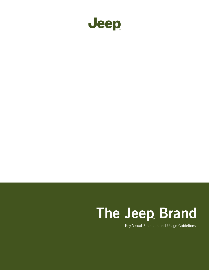

# The Jeep Brand

Key Visual Elements and Usage Guidelines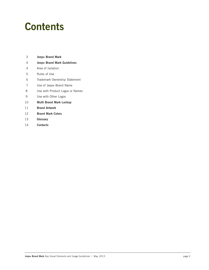### **Contents**

- 3 Jeep® Brand Mark
- 4 Jeep® Brand Mark Guidelines
- 4 Area of Isolation
- 5 Rules of Use
- 6 Trademark Ownership Statement
- 7 Use of Jeep® Brand Name
- 8 Use with Product Logos or Names
- 9 Use with Other Logos
- 10 Multi Brand Mark Lockup
- 11 Brand Artwork
- 12 Brand Mark Colors
- 13 Glossary
- 14 Contacts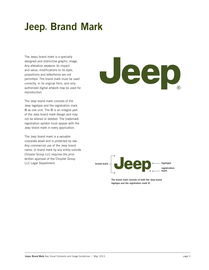## **Jeep** Brand Mark

The Jeep® brand mark is a specially designed and distinctive graphic image. Any alteration weakens its impact and value; modifications to its style, proportions and letterforms are not permitted. The brand mark must be used correctly, in its original form, and only authorized digital artwork may be used for reproduction.

The Jeep brand mark consists of the Jeep logotype and the registration mark ® as one unit. The ® is an integral part of the Jeep brand mark design and may not be altered or deleted. The trademark registration symbol must appear with the Jeep brand mark in every application.

The Jeep brand mark is a valuable corporate asset and is protected by law. Any commercial use of the Jeep brand name, or brand mark by any entity outside Chrysler Group LLC requires the prior written approval of the Chrysler Group LLC Legal Department.





The brand mark consists of both the Jeep brand logotype and the registration mark ®.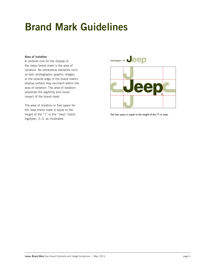### Area of Isolation

A cardinal rule for the display of the Jeep® brand mark is the area of isolation. No extraneous elements such as text, photographs, graphic images, or the outside edge of the brand mark's display surface may encroach within the area of isolation. The area of isolation preserves the legibility and visual impact of the brand mark.

The area of isolation or free space for the Jeep brand mark is equal to the height of the "J" in the "Jeep" brand logotype, (1 J), as illustrated.



The free space is equal to the height of the "J" in Jeep.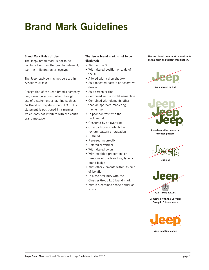### Brand Mark Rules of Use

The Jeep® brand mark is not to be combined with another graphic element, e.g., text, illustration or logotype.

The Jeep logotype may not be used in headlines or text.

Recognition of the Jeep brand's company origin may be accomplished through use of a statement or tag line such as "A Brand of Chrysler Group LLC." This statement is positioned in a manner which does not interfere with the central brand message.

### The Jeep® brand mark is not to be displayed:

- Without the ®
- With altered position or scale of the ®
- Altered with a drop shadow
- As a repeated pattern or decorative device
- As a screen or tint
- Combined with a model nameplate
- Combined with elements other than an approved marketing theme line
- In poor contrast with the background
- Obscured by an overprint
- On a background which has texture, pattern or gradation
- Outlined
- Reversed incorrectly
- Rotated or vertical
- With altered colors
- With modified proportions or positions of the brand logotype or brand badge
- With other elements within its area of isolation
- In close proximity with the Chrysler Group LLC brand mark
- Within a confined shape border or space

The Jeep brand mark must be used in its original form and without modification.



**As a screen or tint**



**As a decorative device or repeated pattern**





**Combined with the Chrysler Group LLC brand mark**

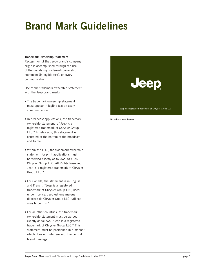#### Trademark Ownership Statement

Recognition of the Jeep® brand's company origin is accomplished through the use of the mandatory trademark ownership statement (in legible text), on every communication.

Use of the trademark ownership statement with the Jeep brand mark:

- The trademark ownership statement must appear in legible text on every communication.
- In broadcast applications, the trademark ownership statement is "Jeep is a registered trademark of Chrysler Group LLC." In television, this statement is centered at the bottom of the broadcast end frame.
- • Within the U.S., the trademark ownership statement for print applications must be worded exactly as follows: ©(YEAR) Chrysler Group LLC. All Rights Reserved. Jeep is a registered trademark of Chrysler Group LLC."
- For Canada, the statement is in English and French. "Jeep is a registered trademark of Chrysler Group LLC, used under license. Jeep est une marque déposée de Chrysler Group LLC, utilisée sous le permis."
- • For all other countries, the trademark ownership statement must be worded exactly as follows: "Jeep is a registered trademark of Chrysler Group LLC." This statement must be positioned in a manner which does not interfere with the central brand message.



**Broadcast end frame**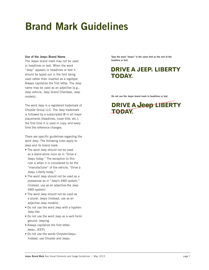#### Use of the Jeep® Brand Name

The Jeep® brand mark may not be used in headlines or text. When the word "Jeep" appears in headlines or text it should be typed out in the font being used rather than inserted as a logotype. Always capitalize the first letter. The Jeep name may be used as an adjective (e.g., Jeep vehicle, Jeep Grand Cherokee, Jeep models).

The word Jeep is a registered trademark of Chrysler Group LLC. The Jeep trademark is followed by a subscripted ® in all major placements (headlines, cover title, etc.), the first time it is used in copy, and every time the reference changes.

There are specific guidelines regarding the word Jeep. The following rules apply to Jeep and its brand mark:

- The word Jeep should not be used as a stand-alone noun as in "Drive a Jeep® today." The exception to this rule is when it is considered to be the "manufacturer" of the vehicle, "Drive a Jeep® Liberty today."
- The word Jeep should not be used as a possessive as in "Jeep's 4WD system." (Instead, use as an adjective-the Jeep 4WD system)
- The word Jeep should not be used as a plural: Jeeps (Instead, use as an adjective-Jeep models)
- Do not use the word Jeep with a hyphen: Jeep-like
- Do not use the word Jeep as a verb form/ gerund: Jeeping
- • Always capitalize the first letter: Jeep®, JEEP®
- • Do not use the words Chrysler/Jeep®. Instead, use Chrysler and Jeep®.

Type the word "Jeep®" in the same font as the rest of the headline or text.

### **DRIVE A JEEP LIBERTY TODAY.**

Do not use the Jeep® brand mark in headlines or text.

### **DRIVE A Jeep LIBERTY TODAY**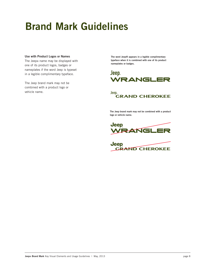#### Use with Product Logos or Names

The Jeep® name may be displayed with one of its product logos, badges or nameplates if the word Jeep is typeset in a legible complimentary typeface.

The Jeep brand mark may not be combined with a product logo or vehicle name.

The word Jeep® appears in a legible complimentary typeface when it is combined with one of its product nameplates or badges.





The Jeep brand mark may not be combined with a product logo or vehicle name.



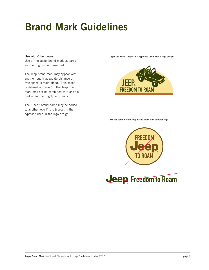#### Use with Other Logos

Use of the Jeep® brand mark as part of another logo is not permitted.

The Jeep brand mark may appear with another logo if adequate distance or free space is maintained. (This space is defined on page 4.) The Jeep brand mark may not be combined with or be a part of another logotype or mark.

The "Jeep" brand name may be added to another logo if it is typeset in the typeface used in the logo design.

Type the word "Jeep®" in a typeface used with a logo design.



#### Do not combine the Jeep brand mark with another logo.



**Jeep Freedom to Roam**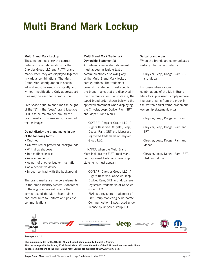## Multi Brand Mark Lockup

#### Multi Brand Mark Lockup

These guidelines show the correct order and size relationships for the Chrysler Group LLC and FIAT® brand marks when they are displayed together in various combinations. The Multi Brand Mark configuration is special art and must be used consistently and without modification. Only approved art files may be used for reproduction.

Free space equal to one time the height of the "J" in the "Jeep" brand logotype (1J) is to be maintained around the brand marks. This area must be void of text or images.

### Do not display the brand marks in any of the following forms:

- Outlined
- On textured or patterned backgrounds
- With drop shadows
- In headlines or text
- As a screen or tint
- As part of another logo or illustration
- As a decorative device
- In poor contrast with the background

The brand marks are the core elements in the brand identity system. Adherence to these guidelines will assure the correct use of the Multi Brand Mark and contribute to uniform and positive communications.

### Multi Brand Mark Trademark Ownership Statement(s)

A trademark ownership statement must appear in legible text on communications displaying any of the Multi Brand Mark lockup configurations. The trademark ownership statement must specify the brand marks that are displayed in the communication. For instance, the typed brand order shown below is the approved statement when displaying the Chrysler, Jeep, Dodge, Ram, SRT and Mopar Brand Marks:

©(YEAR) Chrysler Group LLC. All Rights Reserved. Chrysler, Jeep, Dodge, Ram, SRT and Mopar are registered trademarks of Chrysler Group LLC.

In NAFTA, when the Multi Brand Mark includes the FIAT brand mark, both approved trademark ownership statements must appear:

©(YEAR) Chrysler Group LLC. All Rights Reserved. Chrysler, Jeep, Dodge, Ram, SRT and Mopar are registered trademarks of Chrysler Group LLC. FIAT is a registered trademark of

Fiat Group Marketing & Corporate Communication S.p.A., used under license by Chrysler Group LLC.

### Verbal brand order

When the brands are communicated verbally, the correct order is:

Chrysler, Jeep, Dodge, Ram, SRT and Mopar

For cases when various combinations of the Multi Brand Mark lockup is used, simply remove the brand name from the order in the written and/or verbal trademark ownership statement, e.g.:

Chrysler, Jeep, Dodge and Ram

Chrysler, Jeep, Dodge, Ram and **SRT** 

Chrysler, Jeep, Dodge, Ram and Mopar

Chrysler, Jeep, Dodge, Ram, SRT, FIAT and Mopar



Free space = 1J

The minimum width for the CJDRSFM Mulit Brand Mark lockup (7 brands) is 90mm. Use the lockup with the Primary FIAT Brand Mark (3D) when the width of the FIAT brand mark exceeds 19mm. Various combinations of the Multi Brand Mark Lockup are available at www.ChryslerCI.com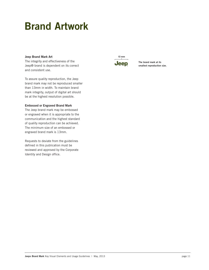### Brand Artwork

### Jeep Brand Mark Art

The integrity and effectiveness of the Jeep® brand is dependent on its correct and consistent use.

To assure quality reproduction, the Jeep brand mark may not be reproduced smaller than 13mm in width. To maintain brand mark integrity, output of digital art should be at the highest resolution possible.

### Embossed or Engraved Brand Mark

The Jeep brand mark may be embossed or engraved when it is appropriate to the communication and the highest standard of quality reproduction can be achieved. The minimum size of an embossed or engraved brand mark is 13mm.

Requests to deviate from the guidelines defined in this publication must be reviewed and approved by the Corporate Identity and Design office.



The brand mark at its smallest reproduction size.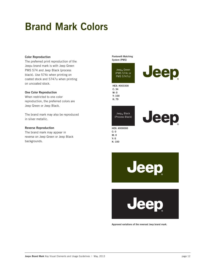### Brand Mark Colors

#### Color Reproduction

The preferred print reproduction of the Jeep® brand mark is with Jeep Green PMS 574 and Jeep Black (process black). Use 574c when printing on coated stock and 5747u when printing on uncoated stock.

### One Color Reproduction

When restricted to one color reproduction, the preferred colors are Jeep Green or Jeep Black.

The brand mark may also be reproduced in silver metallic.

### Reverse Reproduction

The brand mark may appear in reverse on Jeep Green or Jeep Black backgrounds.

Pantone® Matching System (PMS)

Jeep<sub>®</sub> Green (PMS 574c or PMS 5747u)

HEX: #003300 C: 34 M: 0 Y: 100 K: 79

 $\mathsf{Jeep}_\circledast$  Black (Process Black)



Jeep

HEX: #000000 C: 0 M: 0 Y: 0  $K: 100$ 

**Jeep** 

een

Approved variations of the reversed Jeep brand mark.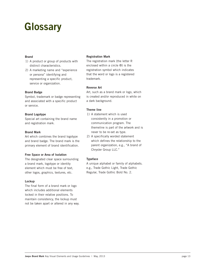### **Glossary**

### Brand

- 1) A product or group of products with distinct characteristics.
- 2) A marketing name and "experience or persona" identifying and representing a specific product, service or organization.

### Brand Badge

Symbol, trademark or badge representing and associated with a specific product or service.

### Brand Logotype

Special art containing the brand name and registration mark.

### Brand Mark

Art which combines the brand logotype and brand badge. The brand mark is the primary element of brand identification.

### Free Space or Area of Isolation

The designated clear space surrounding a brand mark, logotype or identity element which must be free of text, other logos, graphics, textures, etc.

#### Lockup

The final form of a brand mark or logo which includes additional elements locked in their relative positions. To maintain consistency, the lockup must not be taken apart or altered in any way.

#### Registration Mark

The registration mark (the letter R enclosed within a circle ®) is the registration symbol which indicates that the word or logo is a registered trademark.

### Reverse Art

Art, such as a brand mark or logo, which is created and/or reproduced in white on a dark background.

### Theme line

- 1) A statement which is used consistently in a promotion or communication program. The themeline is part of the artwork and is never to be re-set as type.
- 2) A specifically worded statement which defines the relationship to the parent organization, e.g., "A brand of Chrysler Group LLC."

### Typeface

A unique alphabet or family of alphabets. e.g., Trade Gothic Light, Trade Gothic Regular, Trade Gothic Bold No. 2.